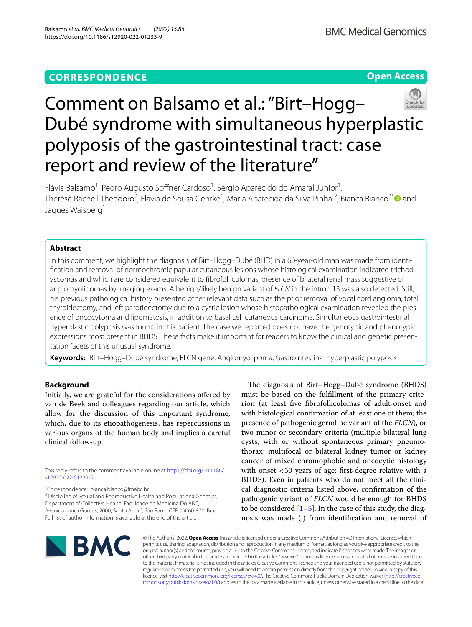**Open Access**

# Comment on Balsamo et al.: "Birt–Hogg– Dubé syndrome with simultaneous hyperplastic polyposis of the gastrointestinal tract: case report and review of the literature"

Flávia Balsamo<sup>1</sup>, Pedro Augusto Soffner Cardoso<sup>1</sup>, Sergio Aparecido do Amaral Junior<sup>1</sup>, Therésè Rachell Theodoro<sup>2</sup>, Flavia de Sousa Gehrke<sup>1</sup>, Maria Aparecida da Silva Pinhal<sup>2</sup>, Bianca Bianco<sup>3[\\*](http://orcid.org/0000-0001-8669-3562)</sup>® and Jaques Waisberg<sup>1</sup>

# **Abstract**

In this comment, we highlight the diagnosis of Birt–Hogg–Dubé (BHD) in a 60-year-old man was made from identifcation and removal of normochromic papular cutaneous lesions whose histological examination indicated trichodyscomas and which are considered equivalent to fbrofolliculomas, presence of bilateral renal mass suggestive of angiomyolipomas by imaging exams. A benign/likely benign variant of *FLCN* in the intron 13 was also detected. Still, his previous pathological history presented other relevant data such as the prior removal of vocal cord angioma, total thyroidectomy, and left parotidectomy due to a cystic lesion whose histopathological examination revealed the presence of oncocytoma and lipomatosis, in addition to basal cell cutaneous carcinoma. Simultaneous gastrointestinal hyperplastic polyposis was found in this patient. The case we reported does not have the genotypic and phenotypic expressions most present in BHDS. These facts make it important for readers to know the clinical and genetic presentation facets of this unusual syndrome.

**Keywords:** Birt–Hogg–Dubé syndrome, FLCN gene, Angiomyolipoma, Gastrointestinal hyperplastic polyposis

# **Background**

Initially, we are grateful for the considerations ofered by van de Beek and colleagues regarding our article, which allow for the discussion of this important syndrome, which, due to its etiopathogenesis, has repercussions in various organs of the human body and implies a careful clinical follow-up.

This reply refers to the comment available online at [https://doi.org/10.1186/](https://doi.org/10.1186/s12920-022-01229-5) [s12920-022-01229-5](https://doi.org/10.1186/s12920-022-01229-5).

\*Correspondence: bianca.bianco@fmabc.br

<sup>3</sup> Discipline of Sexual and Reproductive Health and Populationa Genetics, Department of Collective Health, Faculdade de Medicina Do ABC, Avenida Lauro Gomes, 2000, Santo André, São Paulo CEP 09060-870, Brasil Full list of author information is available at the end of the article

The diagnosis of Birt-Hogg-Dubé syndrome (BHDS) must be based on the fulfllment of the primary criterion (at least fve fbrofolliculomas of adult-onset and with histological confrmation of at least one of them; the presence of pathogenic germline variant of the *FLCN*), or two minor or secondary criteria (multiple bilateral lung cysts, with or without spontaneous primary pneumothorax; multifocal or bilateral kidney tumor or kidney cancer of mixed chromophobic and oncocytic histology with onset <50 years of age; frst-degree relative with a BHDS). Even in patients who do not meet all the clinical diagnostic criteria listed above, confrmation of the pathogenic variant of *FLCN* would be enough for BHDS to be considered  $[1–5]$  $[1–5]$  $[1–5]$ . In the case of this study, the diagnosis was made (i) from identifcation and removal of



© The Author(s) 2022. **Open Access** This article is licensed under a Creative Commons Attribution 4.0 International License, which permits use, sharing, adaptation, distribution and reproduction in any medium or format, as long as you give appropriate credit to the original author(s) and the source, provide a link to the Creative Commons licence, and indicate if changes were made. The images or other third party material in this article are included in the article's Creative Commons licence, unless indicated otherwise in a credit line to the material. If material is not included in the article's Creative Commons licence and your intended use is not permitted by statutory regulation or exceeds the permitted use, you will need to obtain permission directly from the copyright holder. To view a copy of this licence, visit [http://creativecommons.org/licenses/by/4.0/.](http://creativecommons.org/licenses/by/4.0/) The Creative Commons Public Domain Dedication waiver ([http://creativeco](http://creativecommons.org/publicdomain/zero/1.0/) [mmons.org/publicdomain/zero/1.0/](http://creativecommons.org/publicdomain/zero/1.0/)) applies to the data made available in this article, unless otherwise stated in a credit line to the data.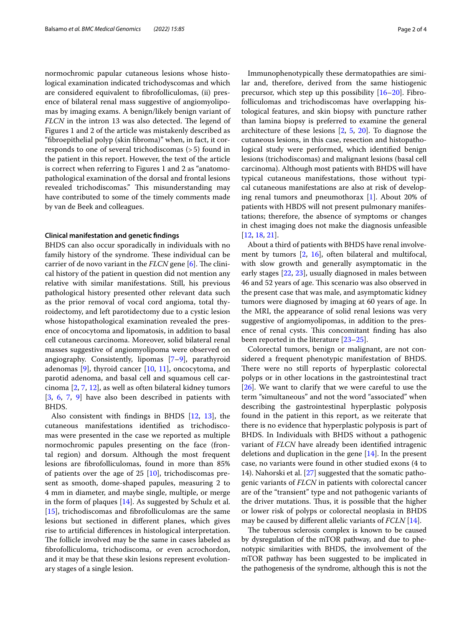normochromic papular cutaneous lesions whose histological examination indicated trichodyscomas and which are considered equivalent to fbrofolliculomas, (ii) presence of bilateral renal mass suggestive of angiomyolipomas by imaging exams. A benign/likely benign variant of *FLCN* in the intron 13 was also detected. The legend of Figures 1 and 2 of the article was mistakenly described as "fbroepithelial polyp (skin fbroma)" when, in fact, it corresponds to one of several trichodiscomas (>5) found in the patient in this report. However, the text of the article is correct when referring to Figures 1 and 2 as "anatomopathological examination of the dorsal and frontal lesions revealed trichodiscomas." This misunderstanding may have contributed to some of the timely comments made by van de Beek and colleagues.

### **Clinical manifestation and genetic fndings**

BHDS can also occur sporadically in individuals with no family history of the syndrome. These individual can be carrier of de novo variant in the *FLCN* gene [\[6\]](#page-2-2). The clinical history of the patient in question did not mention any relative with similar manifestations. Still, his previous pathological history presented other relevant data such as the prior removal of vocal cord angioma, total thyroidectomy, and left parotidectomy due to a cystic lesion whose histopathological examination revealed the presence of oncocytoma and lipomatosis, in addition to basal cell cutaneous carcinoma. Moreover, solid bilateral renal masses suggestive of angiomyolipoma were observed on angiography. Consistently, lipomas [\[7](#page-2-3)[–9](#page-2-4)], parathyroid adenomas  $[9]$  $[9]$ , thyroid cancer  $[10, 11]$  $[10, 11]$  $[10, 11]$  $[10, 11]$  $[10, 11]$ , oncocytoma, and parotid adenoma, and basal cell and squamous cell carcinoma [[2,](#page-2-7) [7,](#page-2-3) [12](#page-2-8)], as well as often bilateral kidney tumors [[3,](#page-2-9) [6,](#page-2-2) [7,](#page-2-3) [9\]](#page-2-4) have also been described in patients with BHDS.

Also consistent with fndings in BHDS [[12,](#page-2-8) [13](#page-2-10)], the cutaneous manifestations identifed as trichodiscomas were presented in the case we reported as multiple normochromic papules presenting on the face (frontal region) and dorsum. Although the most frequent lesions are fbrofolliculomas, found in more than 85% of patients over the age of 25  $[10]$  $[10]$ , trichodiscomas present as smooth, dome-shaped papules, measuring 2 to 4 mm in diameter, and maybe single, multiple, or merge in the form of plaques [\[14\]](#page-2-11). As suggested by Schulz et al. [[15\]](#page-2-12), trichodiscomas and fbrofolliculomas are the same lesions but sectioned in diferent planes, which gives rise to artifcial diferences in histological interpretation. The follicle involved may be the same in cases labeled as fbrofolliculoma, trichodiscoma, or even acrochordon, and it may be that these skin lesions represent evolutionary stages of a single lesion.

Immunophenotypically these dermatopathies are similar and, therefore, derived from the same histiogenic precursor, which step up this possibility [[16–](#page-2-13)[20](#page-2-14)]. Fibrofolliculomas and trichodiscomas have overlapping histological features, and skin biopsy with puncture rather than lamina biopsy is preferred to examine the general architecture of these lesions [\[2,](#page-2-7) [5,](#page-2-1) [20\]](#page-2-14). To diagnose the cutaneous lesions, in this case, resection and histopathological study were performed, which identifed benign lesions (trichodiscomas) and malignant lesions (basal cell carcinoma). Although most patients with BHDS will have typical cutaneous manifestations, those without typical cutaneous manifestations are also at risk of developing renal tumors and pneumothorax [\[1\]](#page-2-0). About 20% of patients with HBDS will not present pulmonary manifestations; therefore, the absence of symptoms or changes in chest imaging does not make the diagnosis unfeasible [[12,](#page-2-8) [18](#page-2-15), [21\]](#page-2-16).

About a third of patients with BHDS have renal involvement by tumors [\[2](#page-2-7), [16](#page-2-13)], often bilateral and multifocal, with slow growth and generally asymptomatic in the early stages [[22,](#page-2-17) [23\]](#page-2-18), usually diagnosed in males between 46 and 52 years of age. This scenario was also observed in the present case that was male, and asymptomatic kidney tumors were diagnosed by imaging at 60 years of age. In the MRI, the appearance of solid renal lesions was very suggestive of angiomyolipomas, in addition to the presence of renal cysts. This concomitant finding has also been reported in the literature [[23](#page-2-18)[–25](#page-3-0)].

Colorectal tumors, benign or malignant, are not considered a frequent phenotypic manifestation of BHDS. There were no still reports of hyperplastic colorectal polyps or in other locations in the gastrointestinal tract [[26\]](#page-3-1). We want to clarify that we were careful to use the term "simultaneous" and not the word "associated" when describing the gastrointestinal hyperplastic polyposis found in the patient in this report, as we reiterate that there is no evidence that hyperplastic polyposis is part of BHDS. In Individuals with BHDS without a pathogenic variant of *FLCN* have already been identifed intragenic deletions and duplication in the gene [[14\]](#page-2-11). In the present case, no variants were found in other studied exons (4 to 14). Nahorski et al. [\[27](#page-3-2)] suggested that the somatic pathogenic variants of *FLCN* in patients with colorectal cancer are of the "transient" type and not pathogenic variants of the driver mutations. Thus, it is possible that the higher or lower risk of polyps or colorectal neoplasia in BHDS may be caused by diferent allelic variants of *FCLN* [[14\]](#page-2-11).

The tuberous sclerosis complex is known to be caused by dysregulation of the mTOR pathway, and due to phenotypic similarities with BHDS, the involvement of the mTOR pathway has been suggested to be implicated in the pathogenesis of the syndrome, although this is not the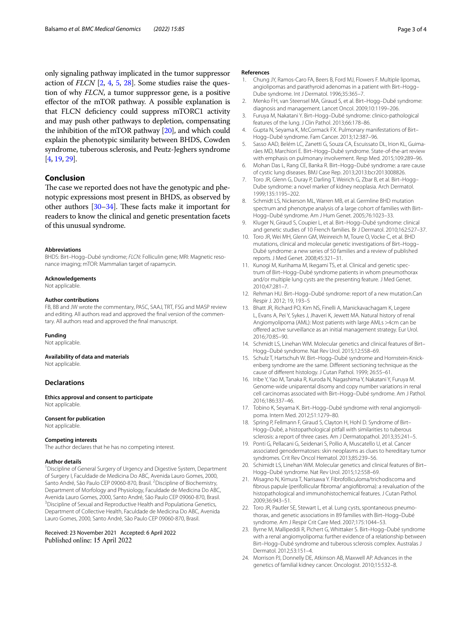only signaling pathway implicated in the tumor suppressor action of *FLCN* [[2,](#page-2-7) [4,](#page-2-19) [5,](#page-2-1) [28\]](#page-3-3). Some studies raise the question of why *FLCN*, a tumor suppressor gene, is a positive efector of the mTOR pathway. A possible explanation is that FLCN defciency could suppress mTORC1 activity and may push other pathways to depletion, compensating the inhibition of the mTOR pathway [\[20\]](#page-2-14), and which could explain the phenotypic similarity between BHDS, Cowden syndrome, tuberous sclerosis, and Peutz-Jeghers syndrome [[4,](#page-2-19) [19](#page-2-20), [29](#page-3-4)].

# **Conclusion**

The case we reported does not have the genotypic and phenotypic expressions most present in BHDS, as observed by other authors  $[30-34]$  $[30-34]$  $[30-34]$ . These facts make it important for readers to know the clinical and genetic presentation facets of this unusual syndrome.

#### **Abbreviations**

BHDS: Birt–Hogg–Dubé syndrome; *FLCN*: Folliculin gene; MRI: Magnetic resonance imaging; mTOR: Mammalian target of rapamycin.

#### **Acknowledgements**

Not applicable.

#### **Author contributions**

FB, BB and JW wrote the commentary, PASC, SAAJ, TRT, FSG and MASP review and editing. All authors read and approved the fnal version of the commentary. All authors read and approved the fnal manuscript.

#### **Funding**

Not applicable.

**Availability of data and materials** Not applicable.

#### **Declarations**

**Ethics approval and consent to participate** Not applicable.

#### **Consent for publication**

Not applicable.

#### **Competing interests**

The author declares that he has no competing interest.

#### **Author details**

<sup>1</sup> Discipline of General Surgery of Urgency and Digestive System, Department of Surgery I, Faculdade de Medicina Do ABC, Avenida Lauro Gomes, 2000, Santo André, São Paulo CEP 09060-870, Brasil. <sup>2</sup>Discipline of Biochemistry, Department of Morfology and Physiology, Faculdade de Medicina Do ABC, Avenida Lauro Gomes, 2000, Santo André, São Paulo CEP 09060-870, Brasil. 3 <sup>3</sup> Discipline of Sexual and Reproductive Health and Populationa Genetics, Department of Collective Health, Faculdade de Medicina Do ABC, Avenida Lauro Gomes, 2000, Santo André, São Paulo CEP 09060-870, Brasil.

## Received: 23 November 2021 Accepted: 6 April 2022 Published online: 15 April 2022

#### **References**

- <span id="page-2-0"></span>1. Chung JY, Ramos-Caro FA, Beers B, Ford MJ, Flowers F. Multiple lipomas, angiolipomas and parathyroid adenomas in a patient with Birt–Hogg– Dube syndrome. Int J Dermatol. 1996;35:365–7.
- <span id="page-2-7"></span>2. Menko FH, van Steensel MA, Giraud S, et al. Birt–Hogg–Dubé syndrome: diagnosis and management. Lancet Oncol. 2009;10:1199–206.
- <span id="page-2-9"></span>3. Furuya M, Nakatani Y. Birt–Hogg–Dubé syndrome: clinico-pathological features of the lung. J Clin Pathol. 2013;66:178–86.
- <span id="page-2-19"></span>4. Gupta N, Seyama K, McCormack FX. Pulmonary manifestations of Birt– Hogg–Dubé syndrome. Fam Cancer. 2013;12:387–96.
- <span id="page-2-1"></span>5. Sasso AAD, Belém LC, Zanetti G, Souza CA, Escuissato DL, Irion KL, Guimarães MD, Marchiori E. Birt–Hogg–Dubé syndrome. State-of-the-art review with emphasis on pulmonary involvement. Resp Med. 2015;109:289–96.
- <span id="page-2-2"></span>6. Mohan Das L, Rang CE, Banka R. Birt–Hogg–Dubé syndrome: a rare cause of cystic lung diseases. BMJ Case Rep. 2013;2013:bcr2013008826.
- <span id="page-2-3"></span>7. Toro JR, Glenn G, Duray P, Darling T, Weirich G, Zbar B, et al. Birt–Hogg– Dube syndrome: a novel marker of kidney neoplasia. Arch Dermatol. 1999;135:1195–202.
- 8. Schmidt LS, Nickerson ML, Warren MB, et al. Germline BHD mutation spectrum and phenotype analysis of a large cohort of families with Birt– Hogg–Dubé syndrome. Am J Hum Genet. 2005;76:1023–33.
- <span id="page-2-4"></span>9. Kluger N, Giraud S, Coupier L, et al. Birt–Hogg–Dubé syndrome: clinical and genetic studies of 10 French families. Br J Dermatol. 2010;162:527–37.
- <span id="page-2-5"></span>10. Toro JR, Wei MH, Glenn GM, Weinreich M, Toure O, Vocke C, et al. BHD mutations, clinical and molecular genetic investigations of Birt–Hogg– Dubé syndrome: a new series of 50 families and a review of published reports. J Med Genet. 2008;45:321–31.
- <span id="page-2-6"></span>11. Kunogi M, Kurihama M, Ikegami TS, et al. Clinical and genetic spectrum of Birt–Hogg–Dubé syndrome patients in whom pneumothorax and/or multiple lung cysts are the presenting feature. J Med Genet. 2010;47:281–7.
- <span id="page-2-8"></span>12. Rehman HU. Birt–Hogg–Dubé syndrome: report of a new mutation.Can Respir J. 2012; 19, 193–5
- <span id="page-2-10"></span>13. Bhatt JR, Richard PO, Kim NS, Finelli A, Manickavachagam K, Legere L, Evans A, Pei Y, Sykes J, Jhaveri K, Jewett MA. Natural history of renal Angiomyolipoma (AML): Most patients with large AMLs >4cm can be ofered active surveillance as an initial management strategy. Eur Urol. 2016;70:85–90.
- <span id="page-2-11"></span>14. Schmidt LS, Linehan WM. Molecular genetics and clinical features of Birt– Hogg–Dubé syndrome. Nat Rev Urol. 2015;12:558–69.
- <span id="page-2-12"></span>15. Schulz T, Hartschuh W. Birt–Hogg–Dubé syndrome and Hornstein-Knickenberg syndrome are the same. Diferent sectioning technique as the cause of diferent histology. J Cutan Pathol. 1999; 26:55–61.
- <span id="page-2-13"></span>16. Iribe Y, Yao M, Tanaka R, Kuroda N, Nagashima Y, Nakatani Y, Furuya M. Genome-wide uniparental disomy and copy number variations in renal cell carcinomas associated with Birt–Hogg–Dubé syndrome. Am J Pathol. 2016;186:337–46.
- 17. Tobino K, Seyama K. Birt–Hogg–Dubé syndrome with renal angiomyolipoma. Intern Med. 2012;51:1279–80.
- <span id="page-2-15"></span>18. Spring P, Fellmann F, Giraud S, Clayton H, Hohl D. Syndrome of Birt– Hogg–Dubé, a histopathological pitfall with similarities to tuberous sclerosis: a report of three cases. Am J Dermatopathol. 2013;35:241–5.
- <span id="page-2-20"></span>19. Ponti G, Pellacani G, Seidenari S, Pollio A, Muscatello U, et al. Cancer associated genodermatoses: skin neoplasms as clues to hereditary tumor syndromes. Crit Rev Oncol Hematol. 2013;85:239–56.
- <span id="page-2-14"></span>20. Schimidt LS, Linehan WM. Molecular genetics and clinical features of Birt– Hogg–Dubé syndrome. Nat Rev Urol. 2015;12:558–69.
- <span id="page-2-16"></span>21. Misagno N, Kimura T, Narisawa Y. Fibrofolliculoma/trichodiscoma and fbrous papule (perifollicular fbroma/ angiofbroma): a revaluation of the histopathological and immunohistochemical features. J Cutan Pathol. 2009;36:943–51.
- <span id="page-2-17"></span>22. Toro JR, Pautler SE, Stewart L, et al. Lung cysts, spontaneous pneumothorax, and genetic associations in 89 families with Birt–Hogg–Dubé syndrome. Am J Respir Crit Care Med. 2007;175:1044–53.
- <span id="page-2-18"></span>23. Byrne M, Mallipeddi R, Pichert G, Whittaker S. Birt–Hogg–Dubé syndrome with a renal angiomyolipoma: further evidence of a relationship between Birt–Hogg–Dubé syndrome and tuberous sclerosis complex. Australas J Dermatol. 2012;53:151–4.
- 24. Morrison PJ, Donnelly DE, Atkinson AB, Maxwell AP. Advances in the genetics of familial kidney cancer. Oncologist. 2010;15:532–8.